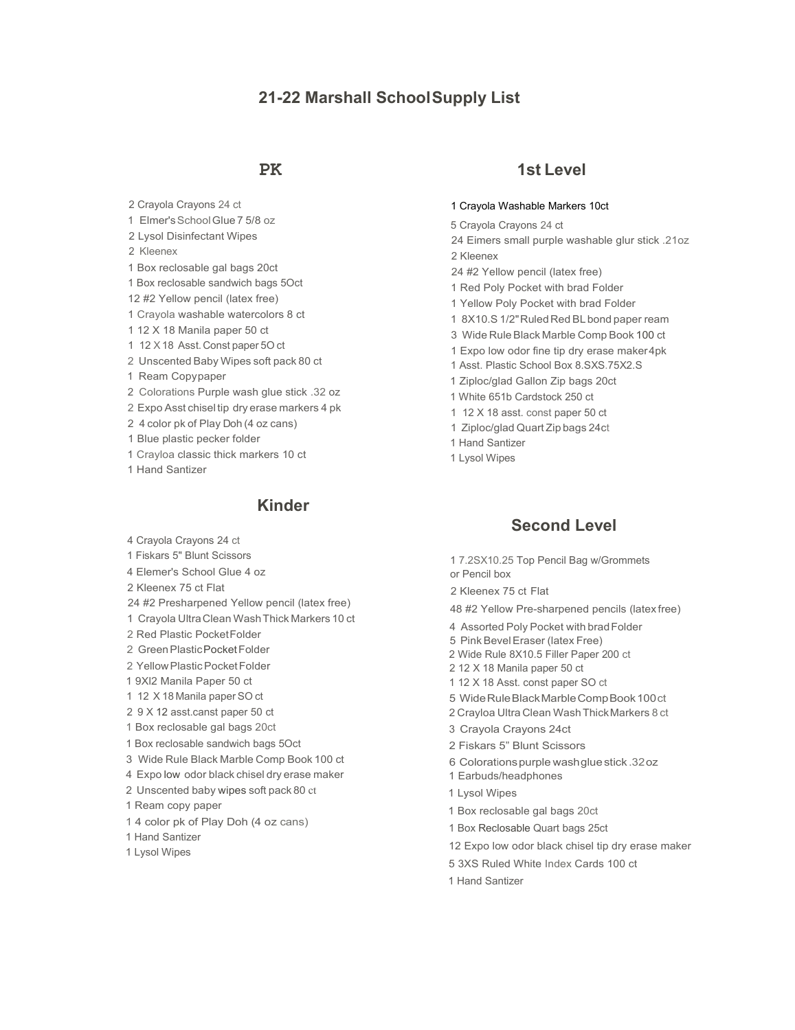# **21-22 Marshall SchoolSupply List**

2 Crayola Crayons 24 ct 1 Elmer'sSchoolGlue 7 5/8 oz 2 Lysol Disinfectant Wipes 2 Kleenex 1 Box reclosable gal bags 20ct 1 Box reclosable sandwich bags 5Oct 12 #2 Yellow pencil (latex free) 1 Crayola washable watercolors 8 ct 1 12 X 18 Manila paper 50 ct 1 12 X18 Asst.Const paper 5O ct 2 Unscented Baby Wipes soft pack 80 ct 1 Ream Copypaper 2 Colorations Purple wash glue stick .32 oz 2 Expo Asst chiseltip dry erase markers 4 pk 2 4 color pk of Play Doh (4 oz cans) 1 Blue plastic pecker folder 1 Crayloa classic thick markers 10 ct 1 Hand Santizer

## **Kinder**

- 4 Crayola Crayons 24 ct
- 1 Fiskars 5" Blunt Scissors
- 4 Elemer's School Glue 4 oz
- 2 Kleenex 75 ct Flat
- 24 #2 Presharpened Yellow pencil (latex free)
- 1 Crayola UltraClean WashThick Markers 10 ct
- 2 Red Plastic PocketFolder
- 2 Green Plastic Pocket Folder
- 2 YellowPlasticPocketFolder
- 1 9Xl2 Manila Paper 50 ct
- 1 12 X 18 Manila paper SO ct
- 2 9 X 12 asst.canst paper 50 ct
- 1 Box reclosable gal bags 20ct
- 1 Box reclosable sandwich bags 5Oct
- 3 Wide Rule Black Marble Comp Book 100 ct
- 4 Expo low odor black chisel dry erase maker
- 2 Unscented baby wipes soft pack 80 ct
- 1 Ream copy paper
- 1 4 color pk of Play Doh (4 oz cans)
- 1 Hand Santizer
- 1 Lysol Wipes

## **PK 1st Level**

### 1 Crayola Washable Markers 10ct

5 Crayola Crayons 24 ct

24 Eimers small purple washable glur stick .21oz 2 Kleenex

- 24 #2 Yellow pencil (latex free)
- 1 Red Poly Pocket with brad Folder
- 1 Yellow Poly Pocket with brad Folder
- 1 8X10.S 1/2" Ruled Red BL bond paper ream
- 3 Wide RuleBlack Marble Comp Book 100 ct
- 1 Expo low odor fine tip dry erase maker4pk
- 1 Asst. Plastic School Box 8.SXS.75X2.S
- 1 Ziploc/glad Gallon Zip bags 20ct
- 1 White 651b Cardstock 250 ct
- 1 12 X 18 asst. const paper 50 ct
- 1 Ziploc/glad Quart Zip bags 24ct
- 1 Hand Santizer
- 1 Lysol Wipes

## **Second Level**

1 7.2SX10.25 Top Pencil Bag w/Grommets or Pencil box

2 Kleenex 75 ct Flat

48 #2 Yellow Pre-sharpened pencils (latex free)

- 4 Assorted Poly Pocket with bradFolder
- 5 PinkBevelEraser (latex Free)
- 2 Wide Rule 8X10.5 Filler Paper 200 ct
- 2 12 X 18 Manila paper 50 ct
- 1 12 X 18 Asst. const paper SO ct
- 5 WideRuleBlackMarbleCompBook100ct
- 2 Crayloa Ultra Clean WashThickMarkers 8 ct
- 3 Crayola Crayons 24ct
- 2 Fiskars 5" Blunt Scissors
- 6 Colorationspurple washgluestick .32oz
- 1 Earbuds/headphones
- 1 Lysol Wipes
- 1 Box reclosable gal bags 20ct
- 1 Box Reclosable Quart bags 25ct
- 12 Expo low odor black chisel tip dry erase maker
- 5 3XS Ruled White Index Cards 100 ct
- 1 Hand Santizer